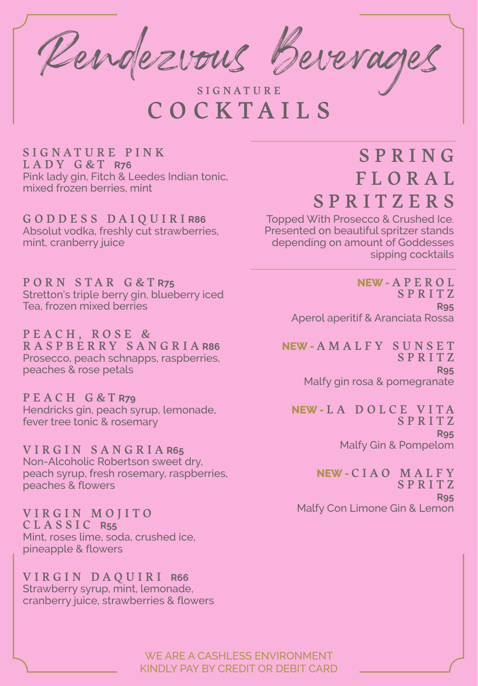Rendezvous Beverages

SIGNATURE<br>COCKTAILS

S I G N A T U R E P I N K LADY G&T **R76** Pink lady gin, Fitch & Leedes Indian tonic, mixed frozen berries, mint

GODDESS DAIQUIRI **R86**  Absolut vodka, freshly cut strawberries, mint, cranberry juice

PORN STAR G&T **R75** Stretton's triple berry gin, blueberry iced Tea, frozen mixed berries

PEACH, ROSE & RASPBERRY SANGRIA **R86** Prosecco, peach schnapps, raspberries, peaches & rose petals

PEACH G&T **R79** Hendricks gin, peach syrup, lemonade, fever tree tonic & rosemary

VIRGIN SANGRIA **R65** Non-Alcoholic Robertson sweet dry, peach syrup, fresh rosemary, raspberries, peaches & flowers

VIRGIN MOJITO CLASSIC **R55** Mint, roses lime, soda, crushed ice, pineapple & flowers

VIRGIN DAQUIRI **R66** Strawberry syrup, mint, lemonade, cranberry juice, strawberries & flowers

#### S P R I N G F L O R A L **SPRITZERS**

Topped With Prosecco & Crushed Ice. Presented on beautiful spritzer stands depending on amount of Goddesses sipping cocktails

> **NEW -** A P E R O L SPRITZ **R95** Aperol aperitif & Aranciata Rossa

**NEW -** AMALFY SUNSET SPRITZ **R95** Malfy gin rosa & pomegranate

**NEW -** LA DOLCE VITA **SPRITZ R95** Malfy Gin & Pompelom

**NEW -** CIAO MALFY S P R I T Z **R95** Malfy Con Limone Gin & Lemon

WE ARE A CASHLESS ENVIRONMENT KINDLY PAY BY CREDIT OR DEBIT CARD